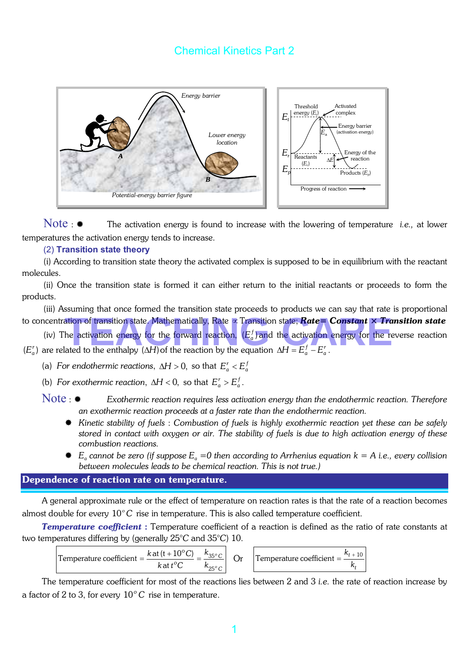

Note :  $\bullet$  The activation energy is found to increase with the lowering of temperature *i.e.*, at lower temperatures the activation energy tends to increase.

#### (2) **Transition state theory**

(i) According to transition state theory the activated complex is supposed to be in equilibrium with the reactant molecules.

(ii) Once the transition state is formed it can either return to the initial reactants or proceeds to form the products.

(iii) Assuming that once formed the transition state proceeds to products we can say that rate is proportional to concentration of transition state. Mathematically, Rate ∝Transition state; *Rate= Constant × Transition state*

(iv) The activation energy for the forward reaction,  $(E_a^f)$  and the activation energy for the reverse reaction  $(E_a^r)$  are related to the enthalpy  $(\Delta H)$  of the reaction by the equation  $\Delta H = E_a^f - E_a^r$ . ation of transition state. Mathematically, Rate  $\propto$  Transition state; **Rate= Constant**  $\times$  **Trans**<br>he activation energy for the forward reaction,  $(E_a^f)$  and the activation energy for the reve<br>ated to the enthalpy ( $\Delta H$ 

(a) *For endothermic reactions,*  $\Delta H > 0$ *, so that*  $E_a^r < E_a^f$ 

(b) *For exothermic reaction*,  $\Delta H < 0$ , so that  $E_a^r > E_a^f$ .

Note : *Exothermic reaction requires less activation energy than the endothermic reaction. Therefore an exothermic reaction proceeds at a faster rate than the endothermic reaction.*

- *Kinetic stability of fuels* : *Combustion of fuels is highly exothermic reaction yet these can be safely stored in contact with oxygen or air. The stability of fuels is due to high activation energy of these combustion reactions.*
- $E_a$  *cannot be zero (if suppose*  $E_a = 0$  *then according to Arrhenius equation k = A i.e., every collision between molecules leads to be chemical reaction. This is not true.)*

#### Dependence of reaction rate on temperature.

A general approximate rule or the effect of temperature on reaction rates is that the rate of a reaction becomes almost double for every 10<sup>°</sup>C rise in temperature. This is also called temperature coefficient.

*Temperature coefficient* : Temperature coefficient of a reaction is defined as the ratio of rate constants at two temperatures differing by (generally 25°*C* and 35°*C*) 10.

Temperature coefficient = 
$$
\frac{k \text{ at } (t + 10^{\circ} \text{C})}{k \text{ at } t^{\circ} \text{C}} = \frac{k_{35^{\circ} \text{C}}}{k_{25^{\circ} \text{C}}}
$$
 Or



The temperature coefficient for most of the reactions lies between 2 and 3 *i.e.* the rate of reaction increase by a factor of 2 to 3, for every  $10^{\circ}$ C rise in temperature.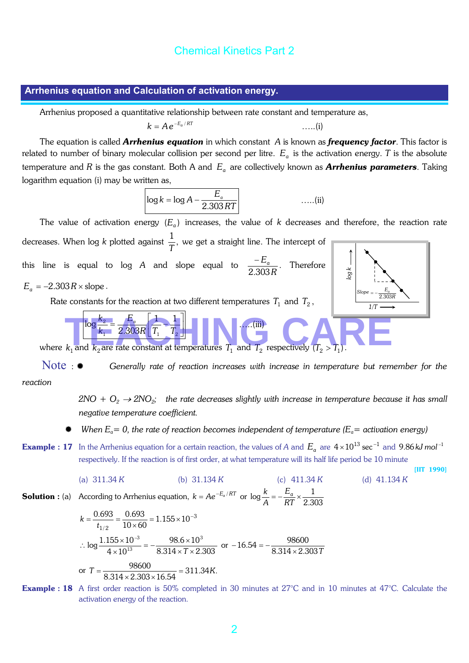#### **Arrhenius equation and Calculation of activation energy.**

Arrhenius proposed a quantitative relationship between rate constant and temperature as,

$$
k = Ae^{-E_a/RT}
$$
 ... (i)

The equation is called *Arrhenius equation* in which constant *A* is known as *frequency factor*. This factor is related to number of binary molecular collision per second per litre.  $E_a$  is the activation energy. T is the absolute temperature and *R* is the gas constant. Both A and  $E_a$  are collectively known as **Arrhenius parameters**. Taking logarithm equation (i) may be written as,

$$
\log k = \log A - \frac{E_a}{2.303 RT}
$$
 ......(ii)

The value of activation energy  $(E_a)$  increases, the value of *k* decreases and therefore, the reaction rate decreases. When log  $k$  plotted against  $\frac{1}{T}$ , we get a straight line. The intercept of this line is equal to log  $A$  and slope equal to  $\frac{-E_a}{2.303R}$ 2.303  $\frac{-E_a}{\sqrt{2\pi}}$ . Therefore  $E_a = -2.303 R \times$  slope . Rate constants for the reaction at two different temperatures  $T_1$  and  $T_2$ , Ļ J  $\frac{1}{T}$ L  $=\frac{E_a}{2\cos\theta}$  $1 - 2.00011$   $1 + 1$  $\log \frac{k_2}{k_1} = \frac{E_a}{2.303R} \left| \frac{1}{T_1} - \frac{1}{T_2} \right|$ *k*  $\frac{k_2}{k_1} = \frac{E_a}{\cos \theta} \left| \frac{1}{\pi} \right| \left| \frac{1}{\pi} \right| \left| \frac{1}{\pi} \right| \left| \frac{1}{\pi} \right| \left| \frac{1}{\pi} \right| \left| \frac{1}{\pi} \right| \left| \frac{1}{\pi} \right| \left| \frac{1}{\pi} \right| \left| \frac{1}{\pi} \right| \left| \frac{1}{\pi} \right| \left| \frac{1}{\pi} \right| \left| \frac{1}{\pi} \right| \left| \frac{1}{\pi} \right| \left| \frac{1}{\pi} \right| \left$ where  $k_1$  and  $k_2$  are rate constant at temperatures  $T_1$  and  $T_2$  respectively  $(T_2 > T_1)$ . action energy of the reaction at two different temperatures  $T_1$  and  $T_2$ ,<br>  $\frac{F_2}{k_1} = \frac{F_3}{2.308R} \left( \frac{1}{T_1} - \frac{1}{T_2} \right)$ <br>
and  $k_2$  are rate constant at temperatures  $T_1$  and  $T_2$  respectively  $(T_2 > T_1)$ .<br>
Se *1/T E*<sub>a</sub><br>2.303*R*  $Slope = -$ 

Note : *Generally rate of reaction increases with increase in temperature but remember for the reaction*

 $2NO + O_2 \rightarrow 2NO_2$ ; the rate decreases slightly with increase in temperature because it has small *negative temperature coefficient.*

[IIT 1990]

- *When*  $E_a = 0$ *, the rate of reaction becomes independent of temperature (* $E_a$  *= activation energy)*
- **Example : 17** In the Arrhenius equation for a certain reaction, the values of *A* and  $E_a$  are  $4 \times 10^{13}$  sec<sup>-1</sup> and 9.86 kJ mol<sup>-1</sup> respectively. If the reaction is of first order, at what temperature will its half life period be 10 minute

(a) 
$$
311.34 K
$$
 (b)  $31.134 K$  (c)  $411.34 K$  (d)  $41.134 K$ 

**Solution :** (a) According to Arrhenius equation,  $k = Ae^{-E_a/RT}$  or  $\log \frac{k}{A} = -\frac{E_a}{RT} \times \frac{1}{2.303}$ *A*  $k$ <sub>*a</sub>*  $E_a$ </sub>

$$
k = \frac{0.693}{t_{1/2}} = \frac{0.693}{10 \times 60} = 1.155 \times 10^{-3}
$$
  
\n
$$
\therefore \log \frac{1.155 \times 10^{-3}}{4 \times 10^{13}} = -\frac{98.6 \times 10^{3}}{8.314 \times 7 \times 2.303} \text{ or } -16.54 = -\frac{98600}{8.314 \times 2.303 \times 16.54}
$$
  
\nor  $T = \frac{98600}{8.314 \times 2.303 \times 16.54} = 311.34K.$ 

Example : 18 A first order reaction is 50% completed in 30 minutes at 27°C and in 10 minutes at 47°C. Calculate the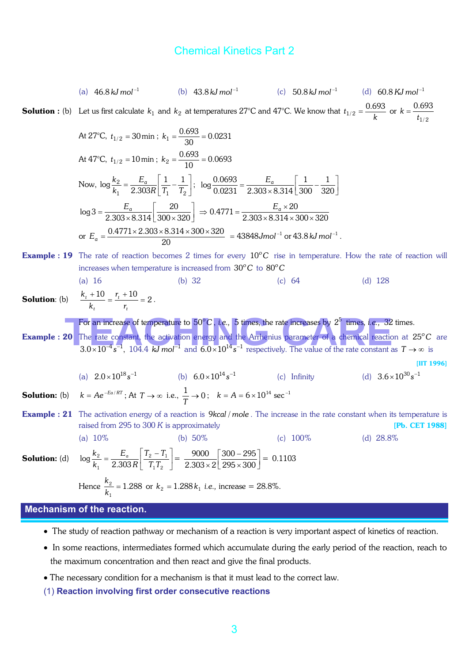(a) 
$$
46.8 \text{ kJ mol}^{-1}
$$
 (b)  $43.8 \text{ kJ mol}^{-1}$  (c)  $50.8 \text{ kJ mol}^{-1}$  (d)  $60.8 \text{ kJ mol}^{-1}$   
\n**Solution :** (b) Let us first calculate  $k_1$  and  $k_2$  at temperatures 27°C and 47°C. We know that  $t_{1/2} = \frac{0.693}{k}$  or  $k = \frac{0.693}{t_{1/2}}$   
\nAt 27°C,  $t_{1/2} = 30 \text{ min}$ ;  $k_1 = \frac{0.693}{10} = 0.0231$   
\nAt 47°C,  $t_{1/2} = 10 \text{ min}$ ;  $k_2 = \frac{0.693}{10} = 0.0693$   
\nNow,  $\log \frac{k_2}{k_1} = \frac{E_a}{2.303 \text{ k}} = \frac{1}{11} - \frac{1}{12}$ ;  $\log \frac{0.0693}{0.0231} = \frac{E_a}{2.303 \times 8.314} = \frac{1}{300} - \frac{1}{320}$   
\n $\log 3 = \frac{E_a}{2.303 \times 8.314 \times 300 \times 320} = 0.4771 = \frac{E_a \times 20}{2.303 \times 8.314 \times 300 \times 320}$   
\nor  $E_a = \frac{0.4771 \times 2.303 \times 8.314 \times 300 \times 320}{20} = 43848 \text{ J/mol}^{-1}$  or  $43.8 \text{ kJ mol}^{-1}$ .  
\n**Example :** 19 The rate of reaction becomes 2 times for every  $10^{\circ}$ C is in temperature. How the rate of reaction will increase when temperature is increased from 30°C to 80°C (a) 16 (b) 32 (c) 64 (d) 128  
\n**Solution:** (b)  $\frac{k_1 + 10}{k_1} = \frac{r_1 + 10}{r_1} = 2$ .  
\n**Example :** 20 The rate of reaction energy and the Arthelning parameters by 2<sup>2</sup> times.  
\n

- The study of reaction pathway or mechanism of a reaction is very important aspect of kinetics of reaction.
- In some reactions, intermediates formed which accumulate during the early period of the reaction, reach to the maximum concentration and then react and give the final products.
- The necessary condition for a mechanism is that it must lead to the correct law.
- (1) **Reaction involving first order consecutive reactions**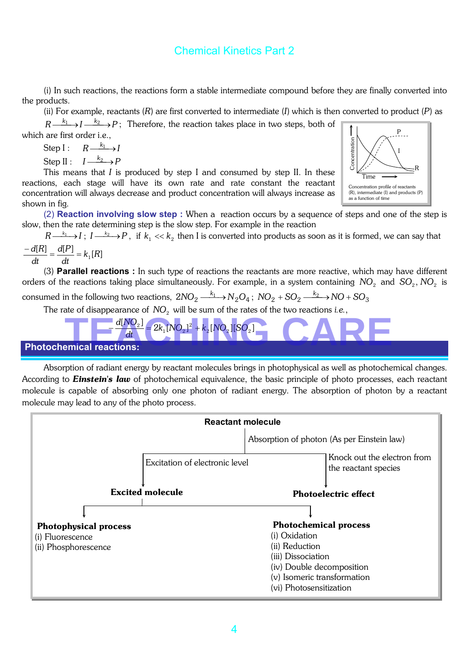(i) In such reactions, the reactions form a stable intermediate compound before they are finally converted into the products.

(ii) For example, reactants (*R*) are first converted to intermediate (*I*) which is then converted to product (*P*) as

 $R \xrightarrow{k_1} I \xrightarrow{k_2} P$ ; Therefore, the reaction takes place in two steps, both of which are first order *i.e.*,

Step I : 
$$
R \xrightarrow{k_1} I
$$

Step II : *PI <sup>k</sup>* → <sup>2</sup>

This means that *I* is produced by step I and consumed by step II. In these reactions, each stage will have its own rate and rate constant the reactant concentration will always decrease and product concentration will always increase as shown in fig.



(2) **Reaction involving slow step :** When a reaction occurs by a sequence of steps and one of the step is slow, then the rate determining step is the slow step. For example in the reaction

 $R \longrightarrow I$ ;  $I \longrightarrow P$ , if  $k_1 \ll k_2$  then I is converted into products as soon as it is formed, we can say that

$$
\frac{-d[R]}{dt} = \frac{d[P]}{dt} = k_1[R]
$$

(3) **Parallel reactions :** In such type of reactions the reactants are more reactive, which may have different orders of the reactions taking place simultaneously. For example, in a system containing *NO*<sub>2</sub> and *SO*<sub>2</sub>, *NO*<sub>2</sub> is

consumed in the following two reactions,  $2NO_2$   $\frac{-k_1}{\longrightarrow}N_2O_4\,;\; NO_2 + SO_2$   $\frac{-k_2}{\longrightarrow}NO + SO_3$ 

The rate of disappearance of  $NO<sub>2</sub>$  will be sum of the rates of the two reactions *i.e.*,



Absorption of radiant energy by reactant molecules brings in photophysical as well as photochemical changes. According to *Einstein's law* of photochemical equivalence, the basic principle of photo processes, each reactant molecule is capable of absorbing only one photon of radiant energy. The absorption of photon by a reactant molecule may lead to any of the photo process.

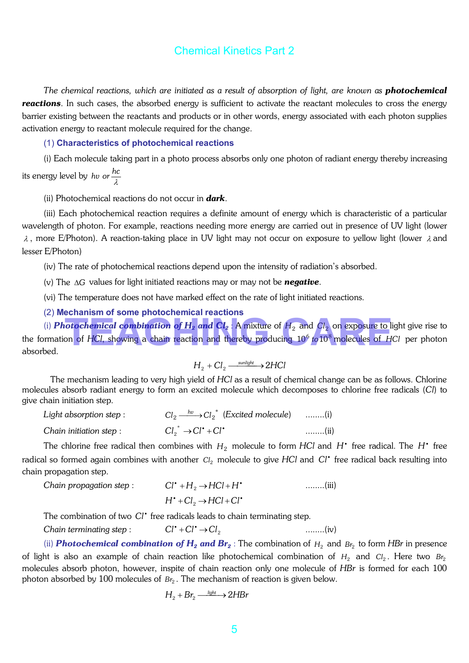*The chemical reactions, which are initiated as a result of absorption of light, are known as photochemical reactions*. In such cases, the absorbed energy is sufficient to activate the reactant molecules to cross the energy barrier existing between the reactants and products or in other words, energy associated with each photon supplies activation energy to reactant molecule required for the change.

#### (1) **Characteristics of photochemical reactions**

(i) Each molecule taking part in a photo process absorbs only one photon of radiant energy thereby increasing

its energy level by *hv or*  $\frac{hc}{\lambda}$ 

(ii) Photochemical reactions do not occur in *dark*.

(iii) Each photochemical reaction requires a definite amount of energy which is characteristic of a particular wavelength of photon. For example, reactions needing more energy are carried out in presence of UV light (lower  $\lambda$ , more E/Photon). A reaction-taking place in UV light may not occur on exposure to yellow light (lower  $\lambda$  and lesser E/Photon)

(iv) The rate of photochemical reactions depend upon the intensity of radiation's absorbed.

(v) The ∆*G* values for light initiated reactions may or may not be *negative*.

(vi) The temperature does not have marked effect on the rate of light initiated reactions.

(2) **Mechanism of some photochemical reactions**

(i) *Photochemical combination of H2 and Cl2* : A mixture of *H*<sup>2</sup> and *Cl* <sup>2</sup> on exposure to light give rise to the formation of *HCl*, showing a chain reaction and thereby producing 10<sup>6</sup> to 10<sup>8</sup> molecules of *HCl* per photon absorbed. **otochemical combination of**  $H_2$  **and**  $Cl_2$ **:** A mixture of  $H_2$  and  $Cl_2$  on exposure to ligh<br>on of HCl, showing a chain reaction and thereby producing  $10^6$  to  $10^8$  molecules of HCl

$$
H_2 + Cl_2 \xrightarrow{\text{smallight}} 2HCl
$$

 The mechanism leading to very high yield of *HCl* as a result of chemical change can be as follows. Chlorine molecules absorb radiant energy to form an excited molecule which decomposes to chlorine free radicals (*Cl*) to give chain initiation step.

| Light absorption step: | $Cl_2 \xrightarrow{hv} Cl_2^*$ (Excited molecule) (i) |               |
|------------------------|-------------------------------------------------------|---------------|
| Chain initiation step: | $Cl_2^* \rightarrow Cl^* + Cl^*$                      | $\ldots$ (ii) |

The chlorine free radical then combines with  $H_2$  molecule to form *HCl* and  $H^{\bullet}$  free radical. The  $H^{\bullet}$  free radical so formed again combines with another *Cl*<sub>2</sub> molecule to give HCl and Cl<sup>•</sup> free radical back resulting into chain propagation step.

| Chain propagation step : | $Cl^* + H_2 \rightarrow HCl + H^*$                       | $\ldots$ (iii) |
|--------------------------|----------------------------------------------------------|----------------|
|                          | $H^*$ +Cl <sub>2</sub> $\rightarrow$ HCl+Cl <sup>+</sup> |                |

The combination of two Cl<sup>\*</sup> free radicals leads to chain terminating step.

*Chain terminating step* :  $Cl^* + Cl^* \rightarrow Cl_2$  ........(iv)

(ii) **Photochemical combination of**  $H_2$  **and**  $Br_2$ : The combination of  $H_2$  and  $Br_2$  to form *HBr* in presence of light is also an example of chain reaction like photochemical combination of  $H_2$  and  $Cl_2$ . Here two  $Br_2$ molecules absorb photon, however, inspite of chain reaction only one molecule of *HBr* is formed for each 100 photon absorbed by 100 molecules of  $Br<sub>2</sub>$ . The mechanism of reaction is given below.

$$
H_2 + Br_2 \xrightarrow{\quad \text{ light} \rightarrow 2HBr}
$$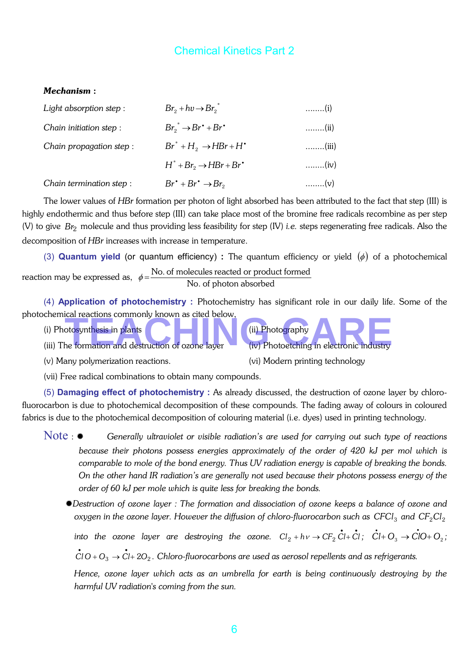#### *Mechanism* :

| Light absorption step:   | $Br_2 + hv \rightarrow Br_2^*$                              |                            |
|--------------------------|-------------------------------------------------------------|----------------------------|
| Chain initiation step:   | $Br_2^* \rightarrow Br^* + Br^*$                            | $\ldots$ (ii)              |
| Chain propagation step : | $Br^*$ + $H_2$ $\rightarrow$ HBr + H <sup>*</sup>           | $\ldots$ (iii)             |
|                          | $H^*$ + Br <sub>2</sub> $\rightarrow$ HBr + Br <sup>•</sup> | $\ldots$ (iv)              |
| Chain termination step:  | $Br^* + Br^* \rightarrow Br_2$                              | $\ldots \ldots \ldots$ (V) |

The lower values of *HBr* formation per photon of light absorbed has been attributed to the fact that step (III) is highly endothermic and thus before step (III) can take place most of the bromine free radicals recombine as per step (V) to give *Br*<sup>2</sup> molecule and thus providing less feasibility for step (IV) *i.e.* steps regenerating free radicals. Also the decomposition of *HBr* increases with increase in temperature.

(3) **Quantum yield** (or quantum efficiency) : The quantum efficiency or yield  $(\phi)$  of a photochemical reaction may be expressed as,  $\phi = \frac{\text{No. of molecules reacted or product formed}}{\text{No. of photon absorbed}}$ 

(4) **Application of photochemistry :** Photochemistry has significant role in our daily life. Some of the photochemical reactions commonly known as cited below, Team and destruction of ozone layer (iv) Photography<br>
Team and destruction of ozone layer (iv) Photoetching in electronic industry

- (i) Photosynthesis in plants (iii) Photography
- (iii) The formation and destruction of ozone layer (iv) Photoetching in electronic industry
- (v) Many polymerization reactions. (vi) Modern printing technology

(vii) Free radical combinations to obtain many compounds.

(5) **Damaging effect of photochemistry :** As already discussed, the destruction of ozone layer by chlorofluorocarbon is due to photochemical decomposition of these compounds. The fading away of colours in coloured fabrics is due to the photochemical decomposition of colouring material (i.e. dyes) used in printing technology.

- Note : *Generally ultraviolet or visible radiation's are used for carrying out such type of reactions because their photons possess energies approximately of the order of 420 kJ per mol which is comparable to mole of the bond energy. Thus UV radiation energy is capable of breaking the bonds. On the other hand IR radiation's are generally not used because their photons possess energy of the order of 60 kJ per mole which is quite less for breaking the bonds.*
	- *Destruction of ozone layer : The formation and dissociation of ozone keeps a balance of ozone and oxygen in the ozone layer. However the diffusion of chloro-fluorocarbon such as CFCl<sub>3</sub> and CF<sub>2</sub>Cl<sub>2</sub>*

 $\dot{C}$  into the ozone layer are destroying the ozone.  $Cl_2 + h \vee \rightarrow CF_2 \dot{C}l + \dot{C}l$ ;  $\dot{C}l + O_3 \rightarrow \dot{C}lO + O_2$ ;  $\dot{\tilde{C}}$ l $O$  +  $O_3$   $\rightarrow$   $\dot{C}$ l+ 2 $O_2$ . Chloro-fluorocarbons are used as aerosol repellents and as refrigerants.

 *Hence, ozone layer which acts as an umbrella for earth is being continuously destroying by the* 

*harmful UV radiation's coming from the sun.*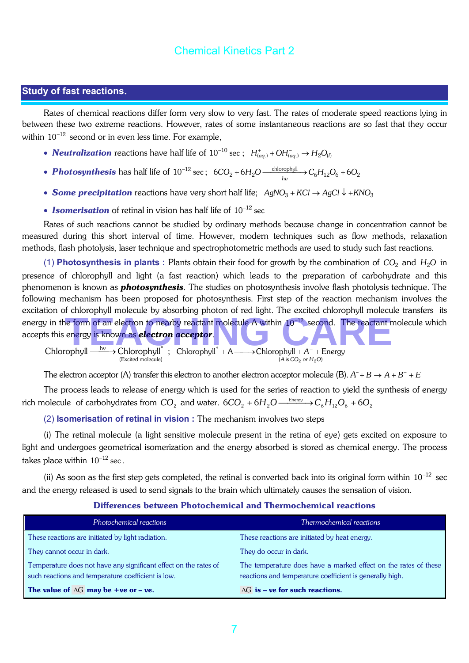### **Study of fast reactions**.

Rates of chemical reactions differ form very slow to very fast. The rates of moderate speed reactions lying in between these two extreme reactions. However, rates of some instantaneous reactions are so fast that they occur within  $10^{-12}$  second or in even less time. For example,

- *Neutralization* reactions have half life of  $10^{-10}$  sec ;  $H_{(aq)}^+$  +  $OH_{(aq)}^ \rightarrow$   $H_2O_{(l)}$
- *Photosynthesis* has half life of  $10^{-12}$  sec;  $6CO_2 + 6H_2O$  <u>*chlorophyl*  $\rightarrow$   $C_6H_{12}O_6 + 6O_2$ </u>
- **Some precipitation** reactions have very short half life;  $AgNO_3 + KCl \rightarrow AgCl \downarrow + KNO_3$
- **Isomerisation** of retinal in vision has half life of 10<sup>-12</sup> sec

Rates of such reactions cannot be studied by ordinary methods because change in concentration cannot be measured during this short interval of time. However, modern techniques such as flow methods, relaxation methods, flash photolysis, laser technique and spectrophotometric methods are used to study such fast reactions.

(1) **Photosynthesis in plants :** Plants obtain their food for growth by the combination of  $CO_2$  and  $H_2O$  in presence of chlorophyll and light (a fast reaction) which leads to the preparation of carbohydrate and this phenomenon is known as *photosynthesis*. The studies on photosynthesis involve flash photolysis technique. The following mechanism has been proposed for photosynthesis. First step of the reaction mechanism involves the excitation of chlorophyll molecule by absorbing photon of red light. The excited chlorophyll molecule transfers its energy in the form of an electron to nearby reactant molecule A within 10<sup>−12</sup> second. The reactant molecule which accepts this energy is known as **electron acceptor**.<br>Chlorophyll —  $\frac{hv}{m}$  Chlorophyll<sup>\*</sup> : Chlorophyll<sup></sup> accepts this energy is known as *electron acceptor*.

Chlorophyll  $\xrightarrow{\text{hv}}$  Chlorophyll  $\hat{ }$ (Excited molecule)  $\xrightarrow{hv}$  > Chlorophyll<sup>\*</sup>; Chlorophyll<sup>\*</sup> + A  $\xrightarrow{h}$  Chlorophyll + A<sup>-</sup> + Energy  $(A \text{ is } CO_2 \text{ or } H_2O)$ 

The electron acceptor (A) transfer this electron to another electron acceptor molecule (B).  $A^-+B\to A+B^-+E$ 

The process leads to release of energy which is used for the series of reaction to yield the synthesis of energy rich molecule  $nof carbohydrates from  $\rm CO_2$  and water.  $6CO_2 + 6H_2O$  . Energy  $\rm \to C_6H_{12}O_6 + 6O_2$$ 

(2) **Isomerisation of retinal in vision :** The mechanism involves two steps

(i) The retinal molecule (a light sensitive molecule present in the retina of eye) gets excited on exposure to light and undergoes geometrical isomerization and the energy absorbed is stored as chemical energy. The process takes place within  $10^{-12}$  sec.

(ii) As soon as the first step gets completed, the retinal is converted back into its original form within  $10^{-12}$  sec and the energy released is used to send signals to the brain which ultimately causes the sensation of vision.

| Photochemical reactions                                                                                                | Thermochemical reactions                                                                                                    |
|------------------------------------------------------------------------------------------------------------------------|-----------------------------------------------------------------------------------------------------------------------------|
| These reactions are initiated by light radiation.                                                                      | These reactions are initiated by heat energy.                                                                               |
| They cannot occur in dark.                                                                                             | They do occur in dark.                                                                                                      |
| Temperature does not have any significant effect on the rates of<br>such reactions and temperature coefficient is low. | The temperature does have a marked effect on the rates of these<br>reactions and temperature coefficient is generally high. |
| The value of $\Delta G$ may be +ve or - ve.                                                                            | $\Delta G$ is – ve for such reactions.                                                                                      |

#### Differences between Photochemical and Thermochemical reactions